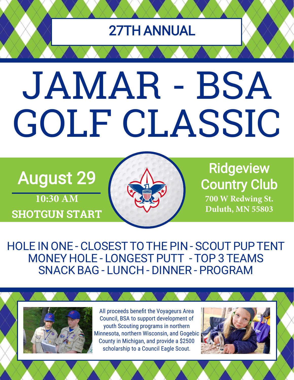## 27TH ANNUAL

# JAMAR - BSA GOLF CLASSIC

# August 29

**10:30 AM SHOTGUN START**



**Ridgeview** Country Club **700 W Redwing St. Duluth, MN 55803**

HOLE IN ONE - CLOSEST TO THE PIN - SCOUT PUP TENT MONEY HOLE - LONGEST PUTT - TOP 3 TEAMS SNACK BAG - LUNCH - DINNER - PROGRAM



All proceeds benefit the Voyageurs Area Council, BSA to support development of youth Scouting programs in northern Minnesota, northern Wisconsin, and Gogebic County in Michigan, and provide a \$2500 scholarship to a Council Eagle Scout.

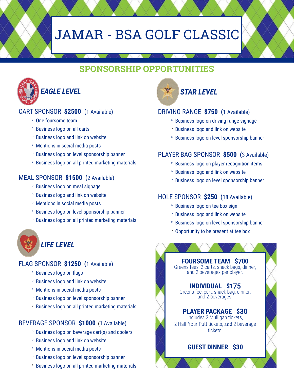## JAMAR - BSA GOLF CLASSIC

#### **SPONSORSHIP OPPORTUNITIES**



#### CART SPONSOR **\$2500** (1 Available)

- One foursome team
- Business logo on all carts
- Business logo and link on website
- Mentions in social media posts
- **Business logo on level sponsorship banner**
- <sup>o</sup> Business logo on all printed marketing materials

#### MEAL SPONSOR **\$1500** (2 Available)

- Business logo on meal signage
- Business logo and link on website
- Mentions in social media posts
- **Business logo on level sponsorship banner**
- Business logo on all printed marketing materials

### *LIFE LEVEL*

#### FLAG SPONSOR **\$1250 (**1 Available)

- Business logo on flags
- Business logo and link on website
- Mentions in social media posts
- <sup>o</sup> Business logo on level sponsorship banner
- Business logo on all printed marketing materials

#### BEVERAGE SPONSOR **\$1000** (1 Available)

- Business logo on beverage cart(s) and coolers
- Business logo and link on website
- Mentions in social media posts
- **Business logo on level sponsorship banner**
- <sup>o</sup> Business logo on all printed marketing materials



#### *STAR LEVEL*

#### DRIVING RANGE **\$750 (**1 Available)

- **Business logo on driving range signage**
- Business logo and link on website
- **Business logo on level sponsorship banner**

#### PLAYER BAG SPONSOR **\$500 (**3 Available)

- **Example 3 Islands** on player recognition items
- Business logo and link on website
- **Business logo on level sponsorship banner**

#### HOLE SPONSOR **\$250** (18 Available)

- Business logo on tee box sign
- Business logo and link on website
- Business logo on level sponsorship banner
- Opportunity to be present at tee box